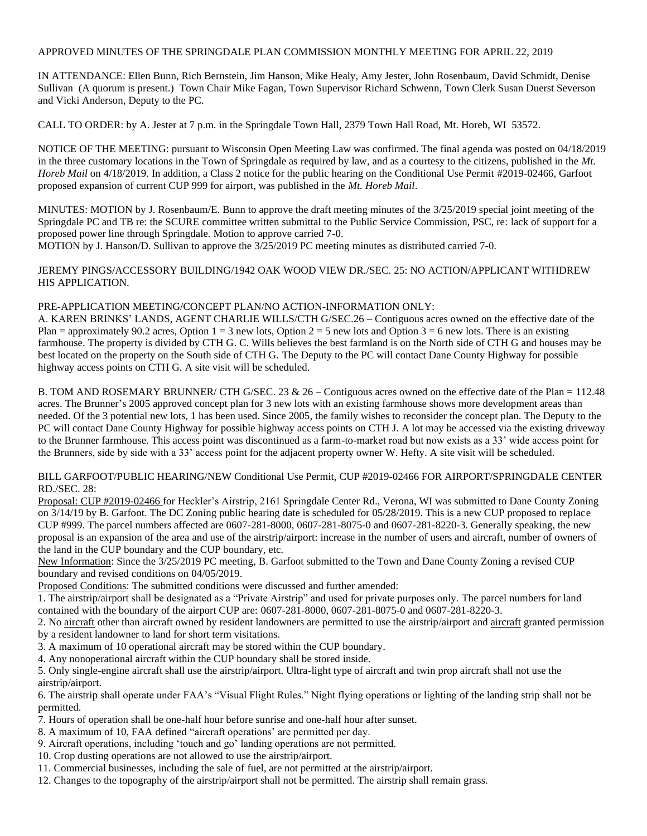## APPROVED MINUTES OF THE SPRINGDALE PLAN COMMISSION MONTHLY MEETING FOR APRIL 22, 2019

IN ATTENDANCE: Ellen Bunn, Rich Bernstein, Jim Hanson, Mike Healy, Amy Jester, John Rosenbaum, David Schmidt, Denise Sullivan (A quorum is present.) Town Chair Mike Fagan, Town Supervisor Richard Schwenn, Town Clerk Susan Duerst Severson and Vicki Anderson, Deputy to the PC.

CALL TO ORDER: by A. Jester at 7 p.m. in the Springdale Town Hall, 2379 Town Hall Road, Mt. Horeb, WI 53572.

NOTICE OF THE MEETING: pursuant to Wisconsin Open Meeting Law was confirmed. The final agenda was posted on 04/18/2019 in the three customary locations in the Town of Springdale as required by law, and as a courtesy to the citizens, published in the *Mt. Horeb Mail* on 4/18/2019*.* In addition, a Class 2 notice for the public hearing on the Conditional Use Permit #2019-02466, Garfoot proposed expansion of current CUP 999 for airport, was published in the *Mt. Horeb Mail*.

MINUTES: MOTION by J. Rosenbaum/E. Bunn to approve the draft meeting minutes of the 3/25/2019 special joint meeting of the Springdale PC and TB re: the SCURE committee written submittal to the Public Service Commission, PSC, re: lack of support for a proposed power line through Springdale. Motion to approve carried 7-0.

MOTION by J. Hanson/D. Sullivan to approve the 3/25/2019 PC meeting minutes as distributed carried 7-0.

JEREMY PINGS/ACCESSORY BUILDING/1942 OAK WOOD VIEW DR./SEC. 25: NO ACTION/APPLICANT WITHDREW HIS APPLICATION.

## PRE-APPLICATION MEETING/CONCEPT PLAN/NO ACTION-INFORMATION ONLY:

A. KAREN BRINKS' LANDS, AGENT CHARLIE WILLS/CTH G/SEC.26 – Contiguous acres owned on the effective date of the Plan = approximately 90.2 acres, Option  $1 = 3$  new lots, Option  $2 = 5$  new lots and Option  $3 = 6$  new lots. There is an existing farmhouse. The property is divided by CTH G. C. Wills believes the best farmland is on the North side of CTH G and houses may be best located on the property on the South side of CTH G. The Deputy to the PC will contact Dane County Highway for possible highway access points on CTH G. A site visit will be scheduled.

B. TOM AND ROSEMARY BRUNNER/ CTH G/SEC. 23 & 26 – Contiguous acres owned on the effective date of the Plan = 112.48 acres. The Brunner's 2005 approved concept plan for 3 new lots with an existing farmhouse shows more development areas than needed. Of the 3 potential new lots, 1 has been used. Since 2005, the family wishes to reconsider the concept plan. The Deputy to the PC will contact Dane County Highway for possible highway access points on CTH J. A lot may be accessed via the existing driveway to the Brunner farmhouse. This access point was discontinued as a farm-to-market road but now exists as a 33' wide access point for the Brunners, side by side with a 33' access point for the adjacent property owner W. Hefty. A site visit will be scheduled.

## BILL GARFOOT/PUBLIC HEARING/NEW Conditional Use Permit, CUP #2019-02466 FOR AIRPORT/SPRINGDALE CENTER RD./SEC. 28:

Proposal: CUP #2019-02466 for Heckler's Airstrip, 2161 Springdale Center Rd., Verona, WI was submitted to Dane County Zoning on 3/14/19 by B. Garfoot. The DC Zoning public hearing date is scheduled for 05/28/2019. This is a new CUP proposed to replace CUP #999. The parcel numbers affected are 0607-281-8000, 0607-281-8075-0 and 0607-281-8220-3. Generally speaking, the new proposal is an expansion of the area and use of the airstrip/airport: increase in the number of users and aircraft, number of owners of the land in the CUP boundary and the CUP boundary, etc.

New Information: Since the 3/25/2019 PC meeting, B. Garfoot submitted to the Town and Dane County Zoning a revised CUP boundary and revised conditions on 04/05/2019.

Proposed Conditions: The submitted conditions were discussed and further amended:

1. The airstrip/airport shall be designated as a "Private Airstrip" and used for private purposes only. The parcel numbers for land contained with the boundary of the airport CUP are: 0607-281-8000, 0607-281-8075-0 and 0607-281-8220-3.

2. No aircraft other than aircraft owned by resident landowners are permitted to use the airstrip/airport and aircraft granted permission by a resident landowner to land for short term visitations.

3. A maximum of 10 operational aircraft may be stored within the CUP boundary.

4. Any nonoperational aircraft within the CUP boundary shall be stored inside.

5. Only single-engine aircraft shall use the airstrip/airport. Ultra-light type of aircraft and twin prop aircraft shall not use the airstrip/airport.

6. The airstrip shall operate under FAA's "Visual Flight Rules." Night flying operations or lighting of the landing strip shall not be permitted.

- 7. Hours of operation shall be one-half hour before sunrise and one-half hour after sunset.
- 8. A maximum of 10, FAA defined "aircraft operations' are permitted per day.
- 9. Aircraft operations, including 'touch and go' landing operations are not permitted.
- 10. Crop dusting operations are not allowed to use the airstrip/airport.
- 11. Commercial businesses, including the sale of fuel, are not permitted at the airstrip/airport.
- 12. Changes to the topography of the airstrip/airport shall not be permitted. The airstrip shall remain grass.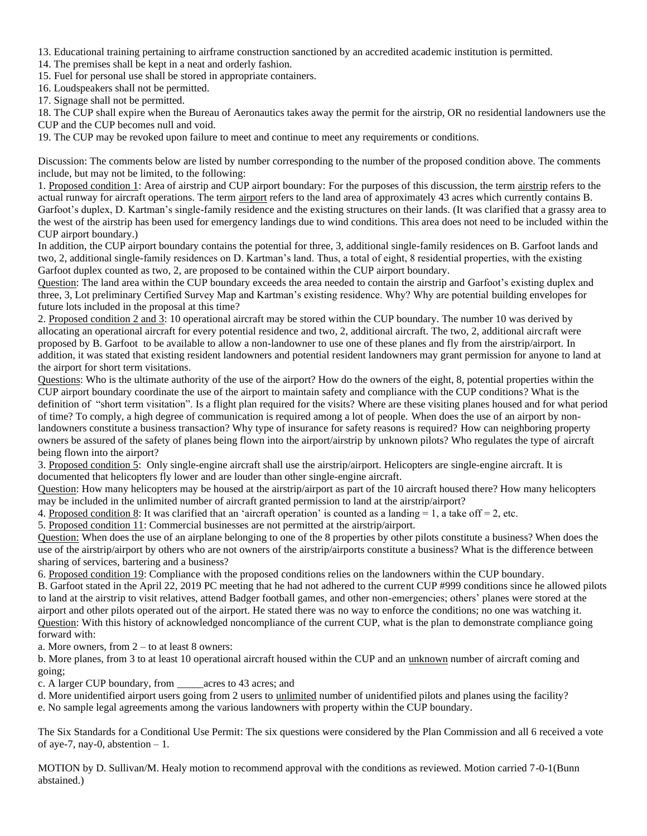- 13. Educational training pertaining to airframe construction sanctioned by an accredited academic institution is permitted.
- 14. The premises shall be kept in a neat and orderly fashion.
- 15. Fuel for personal use shall be stored in appropriate containers.
- 16. Loudspeakers shall not be permitted.
- 17. Signage shall not be permitted.

18. The CUP shall expire when the Bureau of Aeronautics takes away the permit for the airstrip, OR no residential landowners use the CUP and the CUP becomes null and void.

19. The CUP may be revoked upon failure to meet and continue to meet any requirements or conditions.

Discussion: The comments below are listed by number corresponding to the number of the proposed condition above. The comments include, but may not be limited, to the following:

1. Proposed condition 1: Area of airstrip and CUP airport boundary: For the purposes of this discussion, the term airstrip refers to the actual runway for aircraft operations. The term airport refers to the land area of approximately 43 acres which currently contains B. Garfoot's duplex, D. Kartman's single-family residence and the existing structures on their lands. (It was clarified that a grassy area to the west of the airstrip has been used for emergency landings due to wind conditions. This area does not need to be included within the CUP airport boundary.)

In addition, the CUP airport boundary contains the potential for three, 3, additional single-family residences on B. Garfoot lands and two, 2, additional single-family residences on D. Kartman's land. Thus, a total of eight, 8 residential properties, with the existing Garfoot duplex counted as two, 2, are proposed to be contained within the CUP airport boundary.

Question: The land area within the CUP boundary exceeds the area needed to contain the airstrip and Garfoot's existing duplex and three, 3, Lot preliminary Certified Survey Map and Kartman's existing residence. Why? Why are potential building envelopes for future lots included in the proposal at this time?

2. Proposed condition 2 and 3: 10 operational aircraft may be stored within the CUP boundary. The number 10 was derived by allocating an operational aircraft for every potential residence and two, 2, additional aircraft. The two, 2, additional aircraft were proposed by B. Garfoot to be available to allow a non-landowner to use one of these planes and fly from the airstrip/airport. In addition, it was stated that existing resident landowners and potential resident landowners may grant permission for anyone to land at the airport for short term visitations.

Questions: Who is the ultimate authority of the use of the airport? How do the owners of the eight, 8, potential properties within the CUP airport boundary coordinate the use of the airport to maintain safety and compliance with the CUP conditions? What is the definition of "short term visitation". Is a flight plan required for the visits? Where are these visiting planes housed and for what period of time? To comply, a high degree of communication is required among a lot of people. When does the use of an airport by nonlandowners constitute a business transaction? Why type of insurance for safety reasons is required? How can neighboring property owners be assured of the safety of planes being flown into the airport/airstrip by unknown pilots? Who regulates the type of aircraft being flown into the airport?

3. Proposed condition 5: Only single-engine aircraft shall use the airstrip/airport. Helicopters are single-engine aircraft. It is documented that helicopters fly lower and are louder than other single-engine aircraft.

Question: How many helicopters may be housed at the airstrip/airport as part of the 10 aircraft housed there? How many helicopters may be included in the unlimited number of aircraft granted permission to land at the airstrip/airport?

4. Proposed condition 8: It was clarified that an 'aircraft operation' is counted as a landing  $= 1$ , a take off  $= 2$ , etc.

5. Proposed condition 11: Commercial businesses are not permitted at the airstrip/airport.

Question: When does the use of an airplane belonging to one of the 8 properties by other pilots constitute a business? When does the use of the airstrip/airport by others who are not owners of the airstrip/airports constitute a business? What is the difference between sharing of services, bartering and a business?

6. Proposed condition 19: Compliance with the proposed conditions relies on the landowners within the CUP boundary.

B. Garfoot stated in the April 22, 2019 PC meeting that he had not adhered to the current CUP #999 conditions since he allowed pilots to land at the airstrip to visit relatives, attend Badger football games, and other non-emergencies; others' planes were stored at the airport and other pilots operated out of the airport. He stated there was no way to enforce the conditions; no one was watching it. Question: With this history of acknowledged noncompliance of the current CUP, what is the plan to demonstrate compliance going forward with:

a. More owners, from 2 – to at least 8 owners:

b. More planes, from 3 to at least 10 operational aircraft housed within the CUP and an unknown number of aircraft coming and going;

c. A larger CUP boundary, from \_\_\_\_\_acres to 43 acres; and

d. More unidentified airport users going from 2 users to unlimited number of unidentified pilots and planes using the facility? e. No sample legal agreements among the various landowners with property within the CUP boundary.

The Six Standards for a Conditional Use Permit: The six questions were considered by the Plan Commission and all 6 received a vote of aye-7, nay-0, abstention  $-1$ .

MOTION by D. Sullivan/M. Healy motion to recommend approval with the conditions as reviewed. Motion carried 7-0-1(Bunn abstained.)